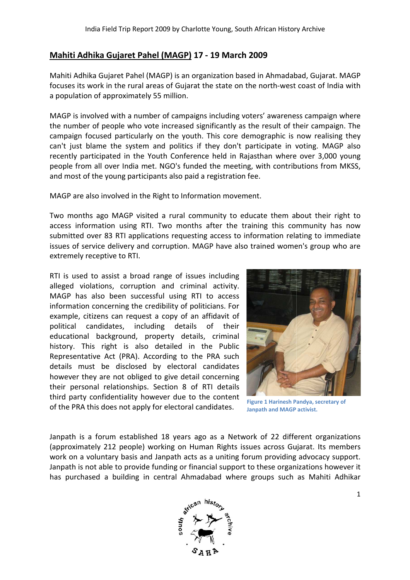## **Mahiti Adhika Gujaret Pahel (MAGP) (MAGP) 17 - 19 March 2009**

Mahiti Adhika Gujaret Pahel (MAGP) is an organization based in Ahmadabad, Gujarat. MAGP focuses its work in the rural areas of Gujarat the state on the north-west coast of India with a population of approximately 55 million.

MAGP is involved with a number of campaigns including voters' awareness campaign where the number of people who vote increased significantly as the result of their campaign. The campaign focused particularly on the youth. This core demographic is now realising they can't just blame the system and politics if they don't participate in voting. MAGP also recently participated in the Youth Conference held in Rajasthan where over 3,000 young people from all over India met. NGO's funded the meeting, with contributions from MKSS, and most of the young participants also paid a registration fee.

MAGP are also involved in the Right to Information movement.

Two months ago MAGP visited a rural community to educate them about their right to access information using RTI. Two months after the training this community has now submitted over 83 RTI applications requesting access to information relating to immediate issues of service delivery and corruption. MAGP have also trained women's group who are extremely receptive to RTI.

RTI is used to assist a broad range of issues including alleged violations, corruption and criminal activity. MAGP has also been successful using RTI to access information concerning the credibility of politicians. For example, citizens can request a copy of an affidavit of political candidates, including details of their educational background, property details, criminal history. This right is also detailed in the Public Representative Act (PRA). According to the PRA such details must be disclosed by electoral candidates however they are not obliged to give detail concerning their personal relationships. Section 8 of RTI details third party confidentiality however due to the content of the PRA this does not apply for electoral candidates. 3 RTI applications requesting access to<br>delivery and corruption. MAGP have also<br>ive to RTI.<br>sist a broad range of issues including<br>s, corruption and criminal activity.<br>been successful using RTI to access<br>erning the credibi



**Figure 1 Harinesh Pandya Janpath and MAGP activist.**

Janpath is a forum established 18 years ago as a Network of 22 different organizations (approximately 212 people) working on Human Rights issues across Gujarat. Its members work on a voluntary basis and Janpath acts as a uniting forum providing advocacy support. Janpath is not able to provide funding or financial support to these organizations however it has purchased a building in central Ahmadabad where groups such as Mahiti Adhikar

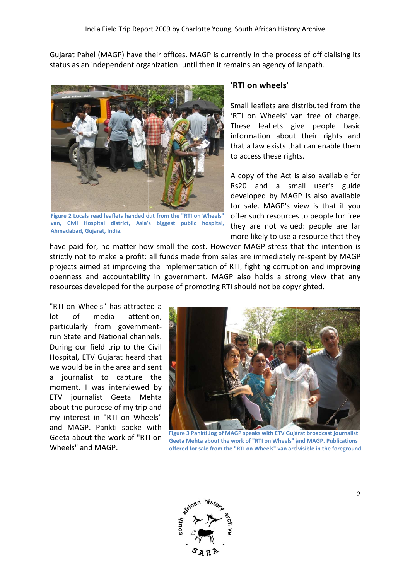Gujarat Pahel (MAGP) have their offices. MAGP is currently in the process of officialising its status as an independent organization: until then it remains an agency of Janpath.



**Figure 2 Locals read leaflets handed out from the "RTI on Wheels" van, Civil Hospital district, Asia's biggest public hospital, Ahmadabad, Gujarat, India.**

#### **'RTI on wheels'**

Small leaflets are distributed from the 'RTI on Wheels' van free of charge. These leaflets give people basic information about their rights and that a law exists that can enable them to access these rights.

A copy of the Act is also available for Rs20 and a small user's guide developed by MAGP is also available for sale. MAGP's view is that if you offer such resources to people for free they are not valued: people are far more likely to use a resource that they

have paid for, no matter how small the cost. However MAGP stress that the intention is strictly not to make a profit: all funds made from sales are immediately re-spent by MAGP projects aimed at improving the implementation of RTI, fighting corruption and improving openness and accountability in government. MAGP also holds a strong view that any resources developed for the purpose of promoting RTI should not be copyrighted.

"RTI on Wheels" has attracted a lot of media attention, particularly from government governmentrun State and National channels. During our field trip to the Civil Hospital, ETV Gujarat heard that we would be in the area and sent a journalist to capture the moment. I was interviewed by ETV journalist Geeta Mehta about the purpose of my trip and my interest in "RTI on Wheels" and MAGP. Pankti spoke with Geeta about the work of "RTI on Wheels" and MAGP.



**Figure 3 Pankti Jog of MAGP speaks with ETV Gujarat broadcast journalist Geeta Mehta about the work of "RTI on Wheels" and MAGP. Publications offered for sale from the "RTI on Wheels" van are visible in the foreground.** 

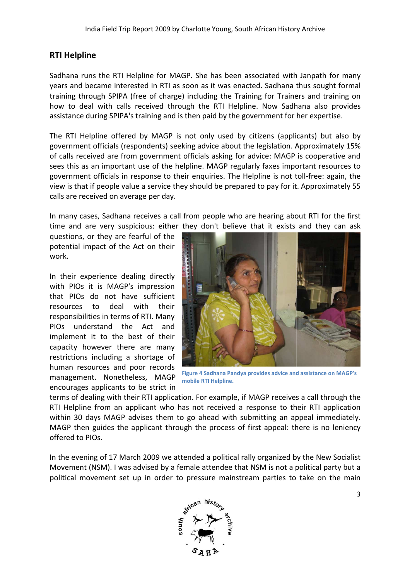### **RTI Helpline**

Sadhana runs the RTI Helpline for MAGP. She has been associated with Janpath for many years and became interested in RTI as soon as it was enacted. Sadhana thus sought formal training through SPIPA (free of charge) including the Training for Trainers and training on how to deal with calls received through the RTI Helpline. Now Sadhana also provides assistance during SPIPA's training and is then paid by the g government for her expertise.

The RTI Helpline offered by MAGP is not only used by citizens (applicants) but also by government officials (respondents) seeking advice about the legislation. Approximately 15% of calls received are from government officials asking for advice: MAGP is cooperative and sees this as an important use of the helpline. MAGP regularly faxes important resources to government officials in response to their enquiries. The Helpline is not toll view is that if people value a service they should be prepared to pay for it. Approximately 55 calls are received on average per day. overnment for her expertise.<br>
citizens (applicants) but also by<br>
the legislation. Approximately 15%<br>
advice: MAGP is cooperative and<br>
larly faxes important resources to<br>
delpline is not toll-free: again, the

In many cases, Sadhana receives a call from people who are hearing about RTI for the first view is that if people value a service they should be prepared to pay for it. Approximately 55<br>calls are received on average per day.<br>In many cases, Sadhana receives a call from people who are hearing about RTI for the fir

questions, or they are fearful of the potential impact of the Act on their work.

In their experience dealing directly with PIOs it is MAGP's impression that PIOs do not have sufficient resources to deal with their responsibilities in terms of RTI. Many PIOs understand the Act and implement it to the best of their capacity however there are many restrictions including a shortage of human resources and poor records management. Nonetheless, MAGP encourages applicants to be strict in



**Figure 4 Sadhana Pandya provides advice and assistance on MAGP's mobile RTI Helpline.**

terms of dealing with their RTI application. For example, if MAGP receives a call through the RTI Helpline from an applicant who has not received a response to their RTI application<br>within 30 days MAGP advises them to go ahead with submitting an appeal immediately.<br>MAGP then guides the applicant through the process within 30 days MAGP advises them to go ahead with submitting an appeal immediately. MAGP then guides the applicant through the process of first appeal: there is no leniency offered to PIOs.

In the evening of 17 March 2009 we attended a political rally organized by the New Socialist Movement (NSM). I was advised by a female attendee that NSM is not a political party but a political movement set up in order to pressure mainstream parti es

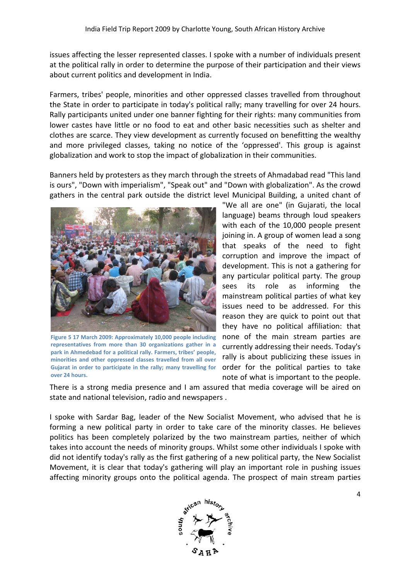issues affecting the lesser represented classes. I spoke with a number of individuals present at the political rally in order to determine the purpose of their participation and their views about current politics and development in I India.

Farmers, tribes' people, minorities and other oppressed classes travelled from throughout the State in order to participate in today's political rally; many travelling for over 24 hours. Rally participants united under one banner fighting for their rights: many communities from lower castes have little or no food to eat and other basic necessities such as shelter and clothes are scarce. They view development as currently focused on benefitting the wealthy and more privileged classes, taking no notice of the 'oppressed'. This group is against globalization and work to stop the impact of globalization in their communities.

Banners held by protesters as they march through the streets of Ahmadabad read "This land is ours", "Down with imperialism", "Speak out" and "Down with globalization". As the crowd gathers in the central park outside the district level Municipal Building, a united chant of



**Figure 5 17 March 2009: Approximately 10,000 people including**  representatives from more than 30 organizations gather in a park in Ahmedebad for a political rally. Farmers, tribes' people, **minorities and other oppressed classes travelled from all over Gujarat in order to participate in the rally; many travelling for over 24 hours.** 

"We all are one" (in Gujarati, the local language) beams through loud speakers with each of the 10,000 people present joining in. A group of women lead a song that speaks of the need to fight corruption and improve the impact of development. This is not a gathering for any particular political party. The group sees its role as informing the mainstream political parties of what key issues need to be addressed. For this reason they are quick to point out that they have no political affiliation: that none of the main stream parties are currently addressing their needs. Today's rally is about publicizing these issues in order for the political parties to take note of what is important to the people.

There is a strong media presence and I am assured that media coverage will be aired on state and national television, radio and newspapers .

I spoke with Sardar Bag, leader of the New Socialist Movement, who advised that he is forming a new political party in order to take care of the minority classes. He believes politics has been completely polarized by the two mainstream parties, neither of which takes into account the needs of minority groups. Whilst some other individuals I spoke with did not identify today's rally as the first gathering of a new political party, the Ne New Socialist Movement, it is clear that today's gathering will play an important role in pushing issues affecting minority groups onto the political agenda. The prospect of main stream parties

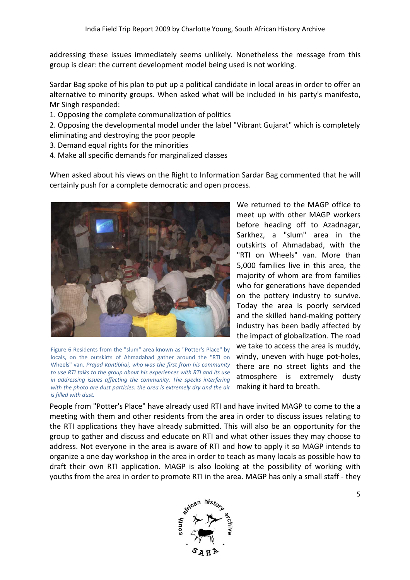addressing these issues immediately seems unlikely. Nonetheless the message from this group is clear: the current development model being used is not working.

Sardar Bag spoke of his plan to put up a political candidate in local areas in order to offer an alternative to minority groups. When asked what will be included in his party's manifesto, Mr Singh responded:

- 1. Opposing the complete communalization of politics
- 2. Opposing the developmental model under the label "Vibrant Gujarat" which is completely eliminating and destroying the poor people
- 3. Demand equal rights for the minorities
- 4. Make all specific demands for marginalized classes

When asked about his views on the Right to Information Sardar Bag commented that he will certainly push for a complete democratic and open process. ghts for the minorities<br>
demands for marginalized classes<br>
his views on the Right to Information Sardar Bag commented that he will<br>
complete democratic and open process.<br>
We returned to the MAGP office to



Figure 6 Residents from the "slum" area known as "Potter's Place" by locals, on the outskirts of Ahmadabad gather around the "RTI on Wheels" van. *Prajad Kantibhai, who was the first from his community*  to use RTI talks to the group about his experiences with RTI and its use *in addressing issues affecting the community. The specks interfering with the photo are dust particles: the area is extremely dry and the air is filled with dust.* 

meet up with other MAGP workers before heading off to Azadnagar, Sarkhez, a "slum" area in the outskirts of Ahmadabad, with the "RTI on Wheels" van. More than 5,000 families live in this area, the majority of whom are from families who for generations have depended on the pottery industry to survive. Today the area is poorly serviced and the skilled hand hand-making pottery industry has been badly affected by the impact of globalization. The road we take to access the area is muddy, windy, uneven with huge pot-holes, there are no street lights and the atmosphere is extremely dusty making it hard to breath. uded in his party's manifesto,<br>
t Gujarat" which is completely<br>
ar Bag commented that he will<br>
turned to the MAGP office to<br>
up with other MAGP workers<br>
heading off to Azadnagar,<br>
z, a "slum" area in the<br>
rts of Ahmadabad,

People from "Potter's Place" have already used RTI and have invited MAGP to come to the a meeting with them and other residents from the area in order to discuss issues relating to the RTI applications they have already submitted. This will also be an opportunity for the group to gather and discuss and educate on RTI and what other issues they may choose to address. Not everyone in the area is aware of RTI and how to apply it so MAGP intends to organize a one day workshop in the area in order to teach as many locals as possible how to draft their own RTI application. MAGP is also looking at the possibility of working with youths from the area in order to promote RTI in the area. MAGP has only a small staff - they what other issues they may choose to<br>how to apply it so MAGP intends to<br>ach as many locals as possible how to<br>g at the possibility of working with<br>ea. MAGP has only a small staff - they

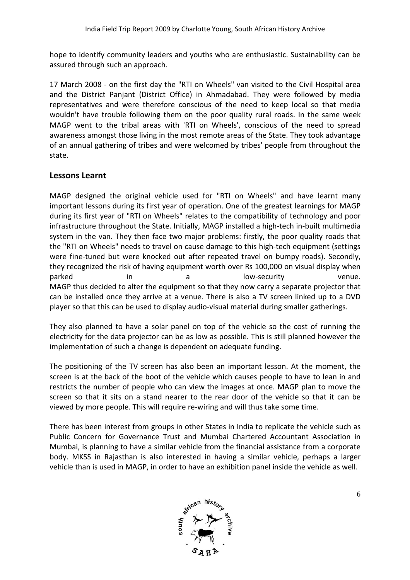hope to identify community leaders and youths who are enthusiastic. Sustainability can be assured through such an approach.

17 March 2008 - on the first day the "RTI on Wheels" van visited to the Civil Hospital area and the District Panjant (District Office) in Ahmadabad. They were followed by media representatives and were therefore conscious of the need to keep local so that m media wouldn't have trouble following them on the poor quality rural roads. In the same week MAGP went to the tribal areas with 'RTI on Wheels', conscious of the need to spread awareness amongst those living in the most remote areas of the State. They took advantage of an annual gathering of tribes and were welcomed by tribes' people from throughout the state.

## **Lessons Learnt**

MAGP designed the original vehicle used for "RTI on Wheels" and have learnt many important lessons during its first year of operation. One of the greatest learnings for MAGP during its first year of "RTI on Wheels" relates to the compatibility of technology and poor infrastructure throughout the State. Initially, MAGP installed a high-tech in-built multimedia system in the van. They then face two major problems: firstly, the poor quality roads that the "RTI on Wheels" needs to travel on cause damage to this high-tech equipment (settings were fine-tuned but were knocked out after repeated travel on bumpy roads). Secondly, they recognized the risk of having equipment worth over Rs 100,000 on visual display when parked in in a low MAGP thus decided to alter the equipment so that they now carry a separate projector that can be installed once they arrive at a venue. There is also a TV screen linked up to a DVD player so that this can be used to display audio-visual material during smaller gatherings. tuned but were knocked out after repeated travel on bumpy roads). Secondly,<br>nized the risk of having equipment worth over Rs 100,000 on visual display when<br>in a low-security venue. ed to alter the equipment so that they now carry a separate projector<br>once they arrive at a venue. There is also a TV screen linked up to a<br>s can be used to display audio-visual material during smaller gatherings lamage to this high-tech equipment (setti<br>repeated travel on bumpy roads). Second<br>orth over Rs 100,000 on visual display wh<br>low-security ven<br>that they now carry a separate projector t<br>here is also a TV screen linked up to

They also planned to have a solar panel on top of the vehicle so the cost of running the electricity for the data projector can be as low as possible. This is still planned however the implementation of such a change is dependent on adequate funding.

The positioning of the TV screen has also been an important lesson. At the moment, the screen is at the back of the boot of the vehicle which causes people to have to lean in and restricts the number of people who can view the images at once. MAGP plan to move the screen so that it sits on a stand nearer to the rear door of the vehicle so that it can be viewed by more people. This will require re-wiring and will thus take some time. he positioning of the TV screen has also been an important lesson. At the m<br>creen is at the back of the boot of the vehicle which causes people to have to<br>estricts the number of people who can view the images at once. MAGP

viewed by more people. This will require re-wiring and will thus take some time.<br>There has been interest from groups in other States in India to replicate the vehicle such as Public Concern for Governance Trust and Mumbai Chartered Accountant Association in Mumbai, is planning to have a similar vehicle from the financial assistance from a corporate body. MKSS in Rajasthan is also interested in having a similar vehicle, perhaps a larger vehicle than is used in MAGP, in order to have an exhibition panel inside the vehicle as well.

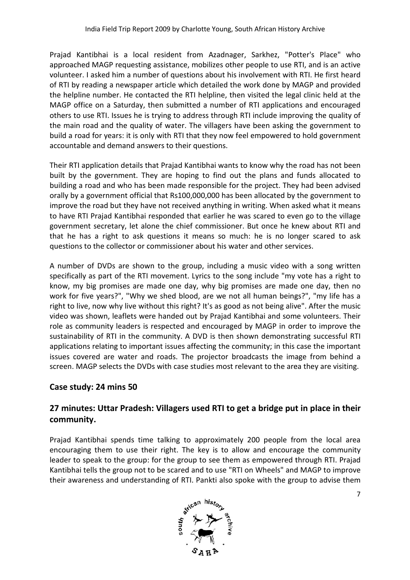Prajad Kantibhai is a local resident from Azadnager, Sarkhez, "Potter's Place" who approached MAGP requesting assistance, mobilizes other people to use RTI, and is an active volunteer. I asked him a number of questions about his involvement with RTI. He first heard of RTI by reading a newspaper article which detailed the work done by MAGP and provided the helpline number. He contacted the RTI helpline, then visited the legal clinic held at the MAGP office on a Saturday, then submitted a number of RTI applications and encouraged others to use RTI. Issues he is trying to address through RTI include improving the quality of the main road and the quality of water. The villagers have been asking the government to build a road for years: it is only with RTI that they now feel empowered to hold government accountable and demand answers to their questions. nd the quality of water. The villagers have been asking the government to<br>years: it is only with RTI that they now feel empowered to hold government<br>demand answers to their questions.<br>tion details that Prajad Kantibhai wan

Their RTI application details that Prajad Kantibhai wants to know why the road has not been built by the government. They are hoping to find out the plans and funds allocated to building a road and who has been made responsible for the project. They had been advised orally by a government official that Rs100,000,000 has been allocated by the government to improve the road but they have not received anything in writing. When asked what it means to have RTI Prajad Kantibhai responded that earlier he was scared to even go to the village government secretary, let alone the chief commissioner. But once he knew about RTI and that he has a right to ask questions it means so much: he is no longer scared to ask questions to the collector or commissioner about his water and other services. jad Kantibhai wants to know why the road has not been<br>hoping to find out the plans and funds allocated to<br>nade responsible for the project. They had been advised<br>8:100,000,000 has been allocated by the government to<br>receiv

A number of DVDs are shown to the group, including a music video with a song written specifically as part of the RTI movement. Lyrics to the song include "my vote has a right to know, my big promises are made one day, why big promises are made one day, then no work for five years?", "Why we shed blood, are we not all human beings?", "my life has a right to live, now why live without this right? It's as good as not being alive". After the music video was shown, leaflets were handed out by Prajad Kantibhai and some voluntee role as community leaders is respected and encouraged by MAGP in order to improve the sustainability of RTI in the community. A DVD is then shown demonstrating successful RTI applications relating to important issues affecting the community; in t his issues covered are water and roads. The projector broadcasts the image from behind a screen. MAGP selects the DVDs with case studies most relevant to the area they are visiting. government official that Rs100,000,000 has been allocated by the government to<br>ne road but they have not received anything in writing. When asked what it means<br>fl Prajad Kantibhai responded that earlier he was scared to ev

# **Case study: 24 mins 50**

# 27 minutes: Uttar Pradesh: Villagers used RTI to get a bridge put in place in their **community.**

Prajad Kantibhai spends time talking to approximately 200 people from the local area encouraging them to use their right. The key is to allow and encourage the community leader to speak to the group: for the group to see them as empowered through RTI. Prajad Kantibhai tells the group not to be scared and to use "RTI on Wheels" and MAGP to improve their awareness and understanding of RTI. Pankti also spoke with the group to advise them